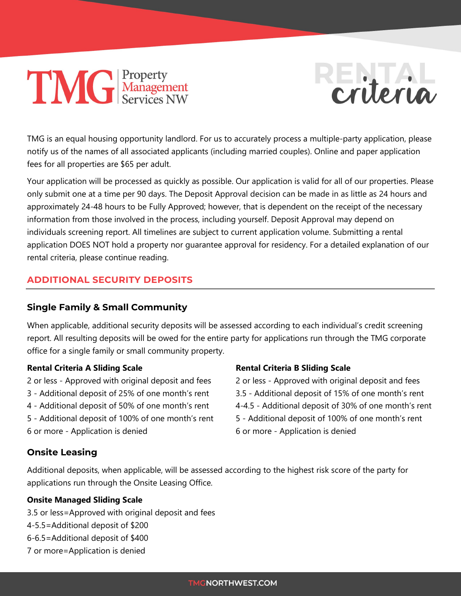# **TIMG** Property



TMG is an equal housing opportunity landlord. For us to accurately process a multiple-party application, please notify us of the names of all associated applicants (including married couples). Online and paper application fees for all properties are \$65 per adult.

Your application will be processed as quickly as possible. Our application is valid for all of our properties. Please only submit one at a time per 90 days. The Deposit Approval decision can be made in as little as 24 hours and approximately 24-48 hours to be Fully Approved; however, that is dependent on the receipt of the necessary information from those involved in the process, including yourself. Deposit Approval may depend on individuals screening report. All timelines are subject to current application volume. Submitting a rental application DOES NOT hold a property nor guarantee approval for residency. For a detailed explanation of our rental criteria, please continue reading.

# **ADDITIONAL SECURITY DEPOSITS**

# **Single Family & Small Community**

When applicable, additional security deposits will be assessed according to each individual's credit screening report. All resulting deposits will be owed for the entire party for applications run through the TMG corporate office for a single family or small community property.

#### **Rental Criteria A Sliding Scale**

2 or less - Approved with original deposit and fees 3 - Additional deposit of 25% of one month's rent

- 4 Additional deposit of 50% of one month's rent
- 5 Additional deposit of 100% of one month's rent

# 6 or more - Application is denied

## **Rental Criteria B Sliding Scale**

2 or less - Approved with original deposit and fees 3.5 - Additional deposit of 15% of one month's rent 4-4.5 - Additional deposit of 30% of one month's rent 5 - Additional deposit of 100% of one month's rent 6 or more - Application is denied

# **Onsite Leasing**

Additional deposits, when applicable, will be assessed according to the highest risk score of the party for applications run through the Onsite Leasing Office.

## **Onsite Managed Sliding Scale**

- 3.5 or less=Approved with original deposit and fees
- 4-5.5=Additional deposit of \$200
- 6-6.5=Additional deposit of \$400
- 7 or more=Application is denied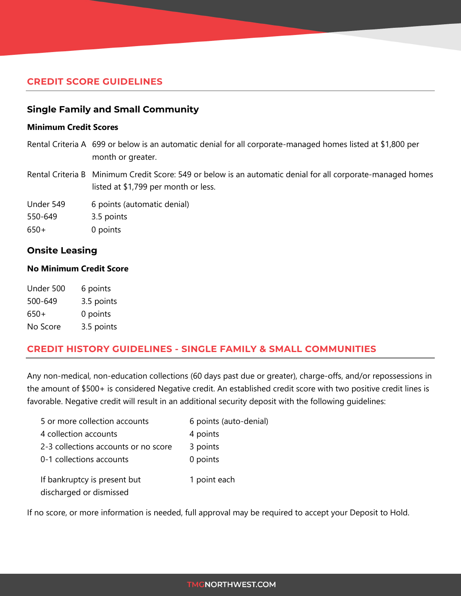## **CREDIT SCORE GUIDELINES**

#### **Single Family and Small Community**

#### **Minimum Credit Scores**

- Rental Criteria A 699 or below is an automatic denial for all corporate-managed homes listed at \$1,800 per month or greater.
- Rental Criteria B Minimum Credit Score: 549 or below is an automatic denial for all corporate-managed homes listed at \$1,799 per month or less.

Under 549 6 points (automatic denial)

550-649 3.5 points

650+ 0 points

#### **Onsite Leasing**

#### **No Minimum Credit Score**

| Under 500 | 6 points   |
|-----------|------------|
| 500-649   | 3.5 points |
| 650+      | 0 points   |
| No Score  | 3.5 points |

#### **CREDIT HISTORY GUIDELINES - SINGLE FAMILY & SMALL COMMUNITIES**

Any non-medical, non-education collections (60 days past due or greater), charge-offs, and/or repossessions in the amount of \$500+ is considered Negative credit. An established credit score with two positive credit lines is favorable. Negative credit will result in an additional security deposit with the following guidelines:

| 5 or more collection accounts                           | 6 points (auto-denial) |
|---------------------------------------------------------|------------------------|
| 4 collection accounts                                   | 4 points               |
| 2-3 collections accounts or no score                    | 3 points               |
| 0-1 collections accounts                                | 0 points               |
| If bankruptcy is present but<br>discharged or dismissed | 1 point each           |

If no score, or more information is needed, full approval may be required to accept your Deposit to Hold.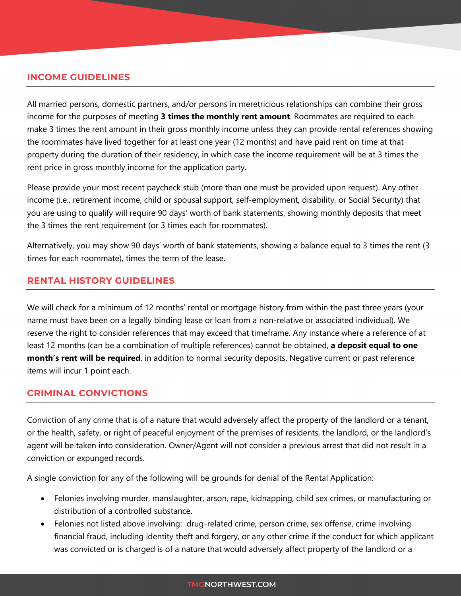#### **INCOME GUIDELINES**

All married persons, domestic partners, and/or persons in meretricious relationships can combine their gross income for the purposes of meeting **3 times the monthly rent amount**. Roommates are required to each make 3 times the rent amount in their gross monthly income unless they can provide rental references showing the roommates have lived together for at least one year (12 months) and have paid rent on time at that property during the duration of their residency, in which case the income requirement will be at 3 times the rent price in gross monthly income for the application party.

Please provide your most recent paycheck stub (more than one must be provided upon request). Any other income (i.e., retirement income, child or spousal support, self-employment, disability, or Social Security) that you are using to qualify will require 90 days' worth of bank statements, showing monthly deposits that meet the 3 times the rent requirement (or 3 times each for roommates).

Alternatively, you may show 90 days' worth of bank statements, showing a balance equal to 3 times the rent (3 times for each roommate), times the term of the lease.

#### **RENTAL HISTORY GUIDELINES**

We will check for a minimum of 12 months' rental or mortgage history from within the past three years (your name must have been on a legally binding lease or loan from a non-relative or associated individual). We reserve the right to consider references that may exceed that timeframe. Any instance where a reference of at least 12 months (can be a combination of multiple references) cannot be obtained, **a deposit equal to one month's rent will be required**, in addition to normal security deposits. Negative current or past reference items will incur 1 point each.

#### **CRIMINAL CONVICTIONS**

Conviction of any crime that is of a nature that would adversely affect the property of the landlord or a tenant, or the health, safety, or right of peaceful enjoyment of the premises of residents, the landlord, or the landlord's agent will be taken into consideration. Owner/Agent will not consider a previous arrest that did not result in a conviction or expunged records.

A single conviction for any of the following will be grounds for denial of the Rental Application:

- Felonies involving murder, manslaughter, arson, rape, kidnapping, child sex crimes, or manufacturing or distribution of a controlled substance.
- Felonies not listed above involving: drug-related crime, person crime, sex offense, crime involving financial fraud, including identity theft and forgery, or any other crime if the conduct for which applicant was convicted or is charged is of a nature that would adversely affect property of the landlord or a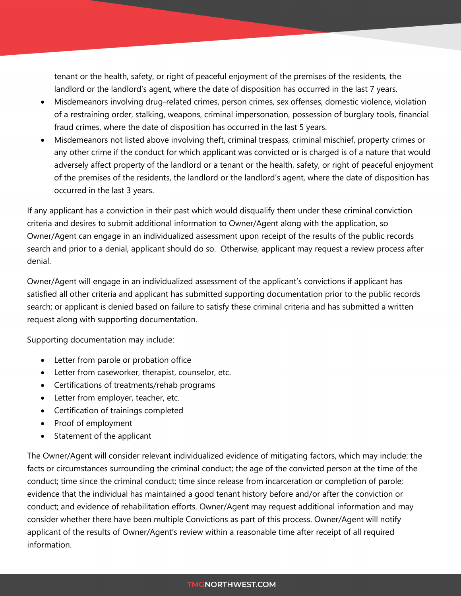tenant or the health, safety, or right of peaceful enjoyment of the premises of the residents, the landlord or the landlord's agent, where the date of disposition has occurred in the last 7 years.

- Misdemeanors involving drug-related crimes, person crimes, sex offenses, domestic violence, violation of a restraining order, stalking, weapons, criminal impersonation, possession of burglary tools, financial fraud crimes, where the date of disposition has occurred in the last 5 years.
- Misdemeanors not listed above involving theft, criminal trespass, criminal mischief, property crimes or any other crime if the conduct for which applicant was convicted or is charged is of a nature that would adversely affect property of the landlord or a tenant or the health, safety, or right of peaceful enjoyment of the premises of the residents, the landlord or the landlord's agent, where the date of disposition has occurred in the last 3 years.

If any applicant has a conviction in their past which would disqualify them under these criminal conviction criteria and desires to submit additional information to Owner/Agent along with the application, so Owner/Agent can engage in an individualized assessment upon receipt of the results of the public records search and prior to a denial, applicant should do so. Otherwise, applicant may request a review process after denial.

Owner/Agent will engage in an individualized assessment of the applicant's convictions if applicant has satisfied all other criteria and applicant has submitted supporting documentation prior to the public records search; or applicant is denied based on failure to satisfy these criminal criteria and has submitted a written request along with supporting documentation.

Supporting documentation may include:

- Letter from parole or probation office
- Letter from caseworker, therapist, counselor, etc.
- Certifications of treatments/rehab programs
- Letter from employer, teacher, etc.
- Certification of trainings completed
- Proof of employment
- Statement of the applicant

The Owner/Agent will consider relevant individualized evidence of mitigating factors, which may include: the facts or circumstances surrounding the criminal conduct; the age of the convicted person at the time of the conduct; time since the criminal conduct; time since release from incarceration or completion of parole; evidence that the individual has maintained a good tenant history before and/or after the conviction or conduct; and evidence of rehabilitation efforts. Owner/Agent may request additional information and may consider whether there have been multiple Convictions as part of this process. Owner/Agent will notify applicant of the results of Owner/Agent's review within a reasonable time after receipt of all required information.

#### **TMGNORTHWEST.COM**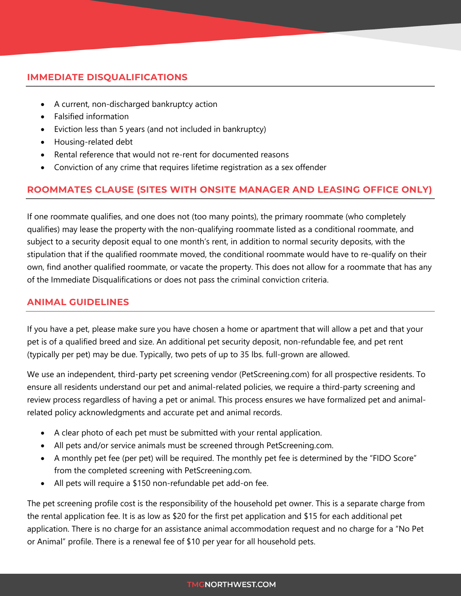## **IMMEDIATE DISQUALIFICATIONS**

- A current, non-discharged bankruptcy action
- Falsified information
- Eviction less than 5 years (and not included in bankruptcy)
- Housing-related debt
- Rental reference that would not re-rent for documented reasons
- Conviction of any crime that requires lifetime registration as a sex offender

## **ROOMMATES CLAUSE (SITES WITH ONSITE MANAGER AND LEASING OFFICE ONLY)**

If one roommate qualifies, and one does not (too many points), the primary roommate (who completely qualifies) may lease the property with the non-qualifying roommate listed as a conditional roommate, and subject to a security deposit equal to one month's rent, in addition to normal security deposits, with the stipulation that if the qualified roommate moved, the conditional roommate would have to re-qualify on their own, find another qualified roommate, or vacate the property. This does not allow for a roommate that has any of the Immediate Disqualifications or does not pass the criminal conviction criteria.

## **ANIMAL GUIDELINES**

If you have a pet, please make sure you have chosen a home or apartment that will allow a pet and that your pet is of a qualified breed and size. An additional pet security deposit, non-refundable fee, and pet rent (typically per pet) may be due. Typically, two pets of up to 35 lbs. full-grown are allowed.

We use an independent, third-party pet screening vendor (PetScreening.com) for all prospective residents. To ensure all residents understand our pet and animal-related policies, we require a third-party screening and review process regardless of having a pet or animal. This process ensures we have formalized pet and animalrelated policy acknowledgments and accurate pet and animal records.

- A clear photo of each pet must be submitted with your rental application.
- All pets and/or service animals must be screened through PetScreening.com.
- A monthly pet fee (per pet) will be required. The monthly pet fee is determined by the "FIDO Score" from the completed screening with PetScreening.com.
- All pets will require a \$150 non-refundable pet add-on fee.

The pet screening profile cost is the responsibility of the household pet owner. This is a separate charge from the rental application fee. It is as low as \$20 for the first pet application and \$15 for each additional pet application. There is no charge for an assistance animal accommodation request and no charge for a "No Pet or Animal" profile. There is a renewal fee of \$10 per year for all household pets.

#### **TMGNORTHWEST.COM**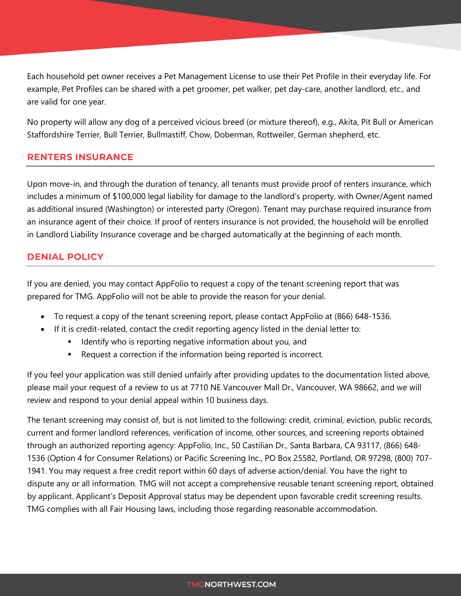Each household pet owner receives a Pet Management License to use their Pet Profile in their everyday life. For example, Pet Profiles can be shared with a pet groomer, pet walker, pet day-care, another landlord, etc., and are valid for one year.

No property will allow any dog of a perceived vicious breed (or mixture thereof), e.g., Akita, Pit Bull or American Staffordshire Terrier, Bull Terrier, Bullmastiff, Chow, Doberman, Rottweiler, German shepherd, etc.

## **RENTERS INSURANCE**

Upon move-in, and through the duration of tenancy, all tenants must provide proof of renters insurance, which includes a minimum of \$100,000 legal liability for damage to the landlord's property, with Owner/Agent named as additional insured (Washington) or interested party (Oregon). Tenant may purchase required insurance from an insurance agent of their choice. If proof of renters insurance is not provided, the household will be enrolled in Landlord Liability Insurance coverage and be charged automatically at the beginning of each month.

## **DENIAL POLICY**

If you are denied, you may contact AppFolio to request a copy of the tenant screening report that was prepared for TMG. AppFolio will not be able to provide the reason for your denial.

- To request a copy of the tenant screening report, please contact AppFolio at (866) 648-1536.
- If it is credit-related, contact the credit reporting agency listed in the denial letter to:
	- **If I**dentify who is reporting negative information about you, and
	- Request a correction if the information being reported is incorrect.

If you feel your application was still denied unfairly after providing updates to the documentation listed above, please mail your request of a review to us at 7710 NE Vancouver Mall Dr., Vancouver, WA 98662, and we will review and respond to your denial appeal within 10 business days.

The tenant screening may consist of, but is not limited to the following: credit, criminal, eviction, public records, current and former landlord references, verification of income, other sources, and screening reports obtained through an authorized reporting agency: AppFolio, Inc., 50 Castilian Dr., Santa Barbara, CA 93117, (866) 648- 1536 (Option 4 for Consumer Relations) or Pacific Screening Inc., PO Box 25582, Portland, OR 97298, (800) 707- 1941. You may request a free credit report within 60 days of adverse action/denial. You have the right to dispute any or all information. TMG will not accept a comprehensive reusable tenant screening report, obtained by applicant. Applicant's Deposit Approval status may be dependent upon favorable credit screening results. TMG complies with all Fair Housing laws, including those regarding reasonable accommodation.